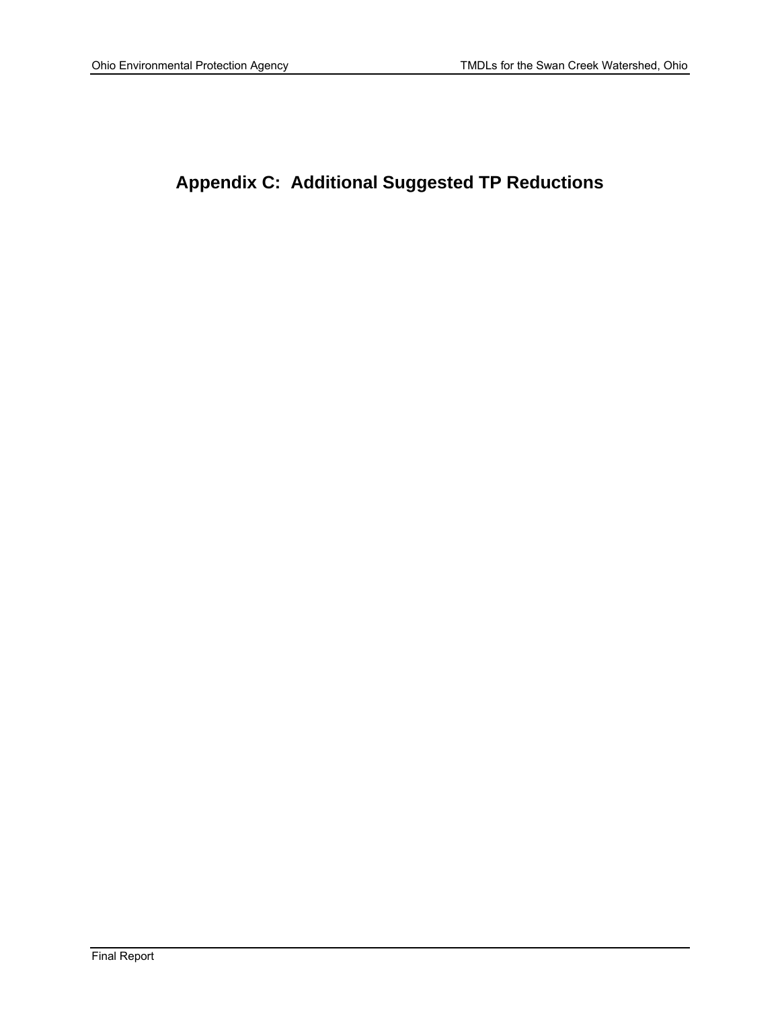# **Appendix C: Additional Suggested TP Reductions**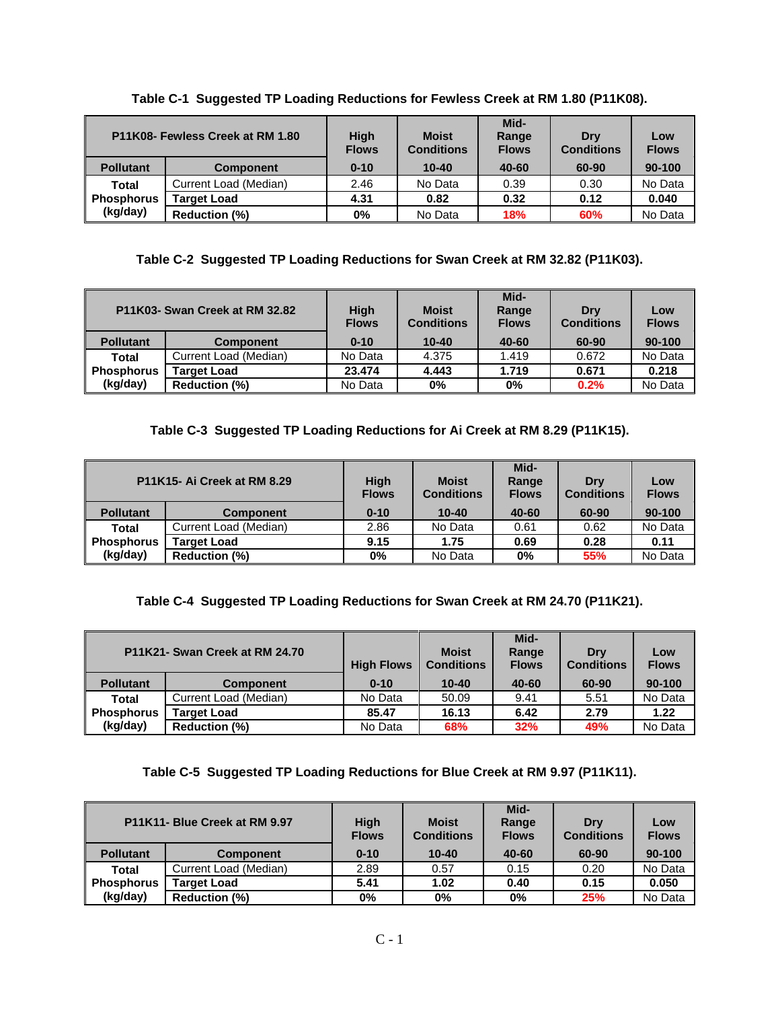| P11K08- Fewless Creek at RM 1.80 |                       | <b>High</b><br><b>Flows</b> | <b>Moist</b><br><b>Conditions</b> | Mid-<br>Range<br><b>Flows</b> | Drv<br><b>Conditions</b> | Low<br><b>Flows</b> |
|----------------------------------|-----------------------|-----------------------------|-----------------------------------|-------------------------------|--------------------------|---------------------|
| <b>Pollutant</b>                 | <b>Component</b>      | $0 - 10$                    | $10 - 40$                         | 40-60                         | 60-90                    | 90-100              |
| Total                            | Current Load (Median) | 2.46                        | No Data                           | 0.39                          | 0.30                     | No Data             |
| <b>Phosphorus</b>                | <b>Target Load</b>    | 4.31                        | 0.82                              | 0.32                          | 0.12                     | 0.040               |
| (kg/day)                         | <b>Reduction (%)</b>  | 0%                          | No Data                           | <b>18%</b>                    | 60%                      | No Data             |

**Table C-1 Suggested TP Loading Reductions for Fewless Creek at RM 1.80 (P11K08).** 

## **Table C-2 Suggested TP Loading Reductions for Swan Creek at RM 32.82 (P11K03).**

|                  | P11K03- Swan Creek at RM 32.82 | <b>High</b><br><b>Flows</b> | <b>Moist</b><br><b>Conditions</b> | Mid-<br>Range<br><b>Flows</b> | Drv<br><b>Conditions</b> | Low<br><b>Flows</b> |
|------------------|--------------------------------|-----------------------------|-----------------------------------|-------------------------------|--------------------------|---------------------|
| <b>Pollutant</b> | <b>Component</b>               | $0 - 10$                    | $10 - 40$                         | 40-60                         | 60-90                    | 90-100              |
| Total            | Current Load (Median)          | No Data                     | 4.375                             | 1.419                         | 0.672                    | No Data             |
| Phosphorus       | <b>Target Load</b>             | 23.474                      | 4.443                             | 1.719                         | 0.671                    | 0.218               |
| (kg/day)         | <b>Reduction (%)</b>           | No Data                     | 0%                                | 0%                            | 0.2%                     | No Data             |

# **Table C-3 Suggested TP Loading Reductions for Ai Creek at RM 8.29 (P11K15).**

|                   | P11K15- Ai Creek at RM 8.29 | <b>High</b><br><b>Flows</b> | <b>Moist</b><br><b>Conditions</b> | Mid-<br>Range<br><b>Flows</b> | Drv<br><b>Conditions</b> | Low<br><b>Flows</b> |
|-------------------|-----------------------------|-----------------------------|-----------------------------------|-------------------------------|--------------------------|---------------------|
| <b>Pollutant</b>  | <b>Component</b>            | $0 - 10$                    | $10 - 40$                         | 40-60                         | 60-90                    | 90-100              |
| <b>Total</b>      | Current Load (Median)       | 2.86                        | No Data                           | 0.61                          | 0.62                     | No Data             |
| <b>Phosphorus</b> | <b>Target Load</b>          | 9.15                        | 1.75                              | 0.69                          | 0.28                     | 0.11                |
| (kg/day)          | <b>Reduction (%)</b>        | 0%                          | No Data                           | 0%                            | 55%                      | No Data             |

## **Table C-4 Suggested TP Loading Reductions for Swan Creek at RM 24.70 (P11K21).**

|                   | P11K21- Swan Creek at RM 24.70 | <b>High Flows</b> | <b>Moist</b><br><b>Conditions</b> | Mid-<br>Range<br><b>Flows</b> | Drv<br><b>Conditions</b> | Low<br><b>Flows</b> |
|-------------------|--------------------------------|-------------------|-----------------------------------|-------------------------------|--------------------------|---------------------|
| <b>Pollutant</b>  | <b>Component</b>               | $0 - 10$          | $10 - 40$                         | 40-60                         | 60-90                    | 90-100              |
| Total             | Current Load (Median)          | No Data           | 50.09                             | 9.41                          | 5.51                     | No Data             |
| <b>Phosphorus</b> | <b>Target Load</b>             | 85.47             | 16.13                             | 6.42                          | 2.79                     | 1.22                |
| (kg/day)          | <b>Reduction (%)</b>           | No Data           | 68%                               | 32%                           | 49%                      | No Data             |

## **Table C-5 Suggested TP Loading Reductions for Blue Creek at RM 9.97 (P11K11).**

|                   | P11K11- Blue Creek at RM 9.97 | <b>High</b><br><b>Flows</b> | <b>Moist</b><br><b>Conditions</b> | Mid-<br>Range<br><b>Flows</b> | Drv<br><b>Conditions</b> | Low<br><b>Flows</b> |
|-------------------|-------------------------------|-----------------------------|-----------------------------------|-------------------------------|--------------------------|---------------------|
| <b>Pollutant</b>  | <b>Component</b>              | $0 - 10$                    | $10 - 40$                         | 40-60                         | 60-90                    | 90-100              |
| Total             | Current Load (Median)         | 2.89                        | 0.57                              | 0.15                          | 0.20                     | No Data             |
| <b>Phosphorus</b> | <b>Target Load</b>            | 5.41                        | 1.02                              | 0.40                          | 0.15                     | 0.050               |
| (kg/day)          | <b>Reduction (%)</b>          | $0\%$                       | $0\%$                             | 0%                            | 25%                      | No Data             |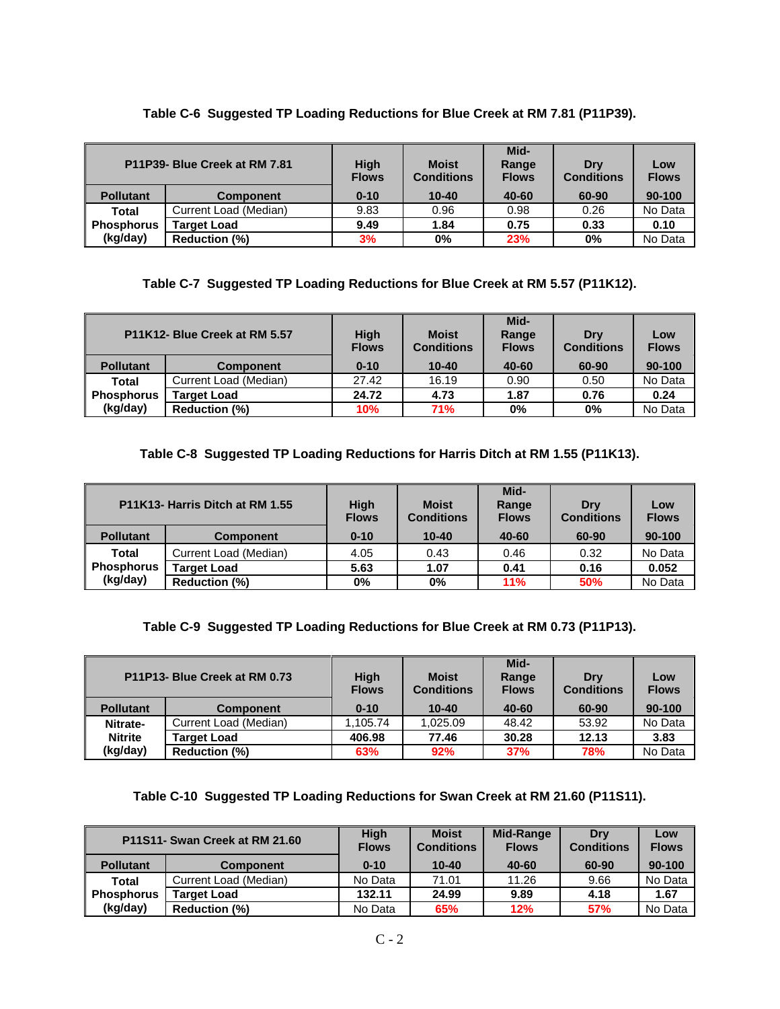# **Table C-6 Suggested TP Loading Reductions for Blue Creek at RM 7.81 (P11P39).**

|                   | P11P39- Blue Creek at RM 7.81 | <b>High</b><br><b>Flows</b> | <b>Moist</b><br><b>Conditions</b> | Mid-<br>Range<br><b>Flows</b> | Drv<br><b>Conditions</b> | Low<br><b>Flows</b> |
|-------------------|-------------------------------|-----------------------------|-----------------------------------|-------------------------------|--------------------------|---------------------|
| <b>Pollutant</b>  | <b>Component</b>              | $0 - 10$                    | $10 - 40$                         | 40-60                         | 60-90                    | 90-100              |
| Total             | Current Load (Median)         | 9.83                        | 0.96                              | 0.98                          | 0.26                     | No Data             |
| <b>Phosphorus</b> | <b>Target Load</b>            | 9.49                        | 1.84                              | 0.75                          | 0.33                     | 0.10                |
| (kg/day)          | <b>Reduction (%)</b>          | 3%                          | $0\%$                             | 23%                           | 0%                       | No Data             |

# **Table C-7 Suggested TP Loading Reductions for Blue Creek at RM 5.57 (P11K12).**

| P11K12- Blue Creek at RM 5.57 |                       | <b>High</b><br><b>Flows</b> | <b>Moist</b><br><b>Conditions</b> | Mid-<br>Range<br><b>Flows</b> | Drv<br><b>Conditions</b> | Low<br><b>Flows</b> |
|-------------------------------|-----------------------|-----------------------------|-----------------------------------|-------------------------------|--------------------------|---------------------|
| <b>Pollutant</b>              | <b>Component</b>      | $0 - 10$                    | $10 - 40$                         | 40-60                         | 60-90                    | $90 - 100$          |
| <b>Total</b>                  | Current Load (Median) | 27.42                       | 16.19                             | 0.90                          | 0.50                     | No Data             |
| Phosphorus                    | <b>Target Load</b>    | 24.72                       | 4.73                              | 1.87                          | 0.76                     | 0.24                |
| (kg/day)                      | <b>Reduction (%)</b>  | 10%                         | 71%                               | 0%                            | $0\%$                    | No Data             |

#### **Table C-8 Suggested TP Loading Reductions for Harris Ditch at RM 1.55 (P11K13).**

|                   | P11K13- Harris Ditch at RM 1.55 | <b>High</b><br><b>Flows</b> | <b>Moist</b><br><b>Conditions</b> | Mid-<br>Range<br><b>Flows</b> | Drv<br><b>Conditions</b> | Low<br><b>Flows</b> |
|-------------------|---------------------------------|-----------------------------|-----------------------------------|-------------------------------|--------------------------|---------------------|
| <b>Pollutant</b>  | <b>Component</b>                | $0 - 10$                    | $10 - 40$                         | 40-60                         | 60-90                    | 90-100              |
| Total             | Current Load (Median)           | 4.05                        | 0.43                              | 0.46                          | 0.32                     | No Data             |
| <b>Phosphorus</b> | <b>Target Load</b>              | 5.63                        | 1.07                              | 0.41                          | 0.16                     | 0.052               |
| (kg/day)          | <b>Reduction (%)</b>            | 0%                          | 0%                                | 11%                           | 50%                      | No Data             |

## **Table C-9 Suggested TP Loading Reductions for Blue Creek at RM 0.73 (P11P13).**

|                  | P11P13- Blue Creek at RM 0.73 | <b>High</b><br><b>Flows</b> | <b>Moist</b><br><b>Conditions</b> | Mid-<br>Range<br><b>Flows</b> | Drv<br><b>Conditions</b> | Low<br><b>Flows</b> |
|------------------|-------------------------------|-----------------------------|-----------------------------------|-------------------------------|--------------------------|---------------------|
| <b>Pollutant</b> | <b>Component</b>              | $0 - 10$                    | $10 - 40$                         | 40-60                         | 60-90                    | $90 - 100$          |
| Nitrate-         | Current Load (Median)         | .105.74                     | 1,025.09                          | 48.42                         | 53.92                    | No Data             |
| <b>Nitrite</b>   | <b>Target Load</b>            | 406.98                      | 77.46                             | 30.28                         | 12.13                    | 3.83                |
| (kg/day)         | <b>Reduction (%)</b>          | 63%                         | 92%                               | 37%                           | 78%                      | No Data             |

#### **Table C-10 Suggested TP Loading Reductions for Swan Creek at RM 21.60 (P11S11).**

|                   | P11S11- Swan Creek at RM 21.60 | <b>High</b><br><b>Flows</b> | <b>Moist</b><br><b>Conditions</b> | <b>Mid-Range</b><br><b>Flows</b> | Drv<br><b>Conditions</b> | Low<br><b>Flows</b> |
|-------------------|--------------------------------|-----------------------------|-----------------------------------|----------------------------------|--------------------------|---------------------|
| <b>Pollutant</b>  | <b>Component</b>               | $0 - 10$                    | $10 - 40$                         | 40-60                            | 60-90                    | 90-100              |
| Total             | Current Load (Median)          | No Data                     | 71.01                             | 11.26                            | 9.66                     | No Data             |
| <b>Phosphorus</b> | <b>Target Load</b>             | 132.11                      | 24.99                             | 9.89                             | 4.18                     | 1.67                |
| (kg/day)          | <b>Reduction (%)</b>           | No Data                     | 65%                               | 12%                              | <b>57%</b>               | No Data             |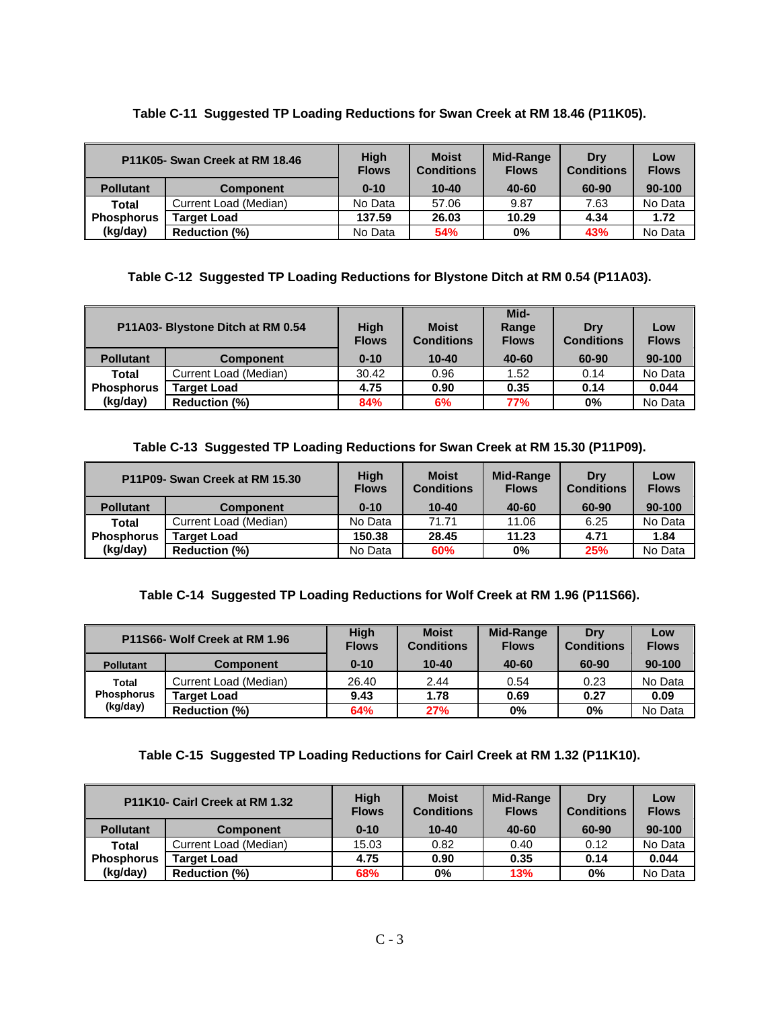## **Table C-11 Suggested TP Loading Reductions for Swan Creek at RM 18.46 (P11K05).**

|                   | P11K05- Swan Creek at RM 18.46 | <b>High</b><br><b>Flows</b> | <b>Moist</b><br><b>Conditions</b> | Mid-Range<br><b>Flows</b> | Drv<br><b>Conditions</b> | Low<br><b>Flows</b> |
|-------------------|--------------------------------|-----------------------------|-----------------------------------|---------------------------|--------------------------|---------------------|
| <b>Pollutant</b>  | <b>Component</b>               | $0 - 10$                    | $10 - 40$                         | 40-60                     | 60-90                    | 90-100              |
| Total             | Current Load (Median)          | No Data                     | 57.06                             | 9.87                      | 7.63                     | No Data             |
| <b>Phosphorus</b> | <b>Target Load</b>             | 137.59                      | 26.03                             | 10.29                     | 4.34                     | 1.72                |
| (kg/day)          | <b>Reduction (%)</b>           | No Data                     | 54%                               | 0%                        | 43%                      | No Data             |

## **Table C-12 Suggested TP Loading Reductions for Blystone Ditch at RM 0.54 (P11A03).**

| P11A03- Blystone Ditch at RM 0.54 |                       | High<br><b>Flows</b> | <b>Moist</b><br><b>Conditions</b> | Mid-<br>Range<br><b>Flows</b> | Drv<br><b>Conditions</b> | Low<br><b>Flows</b> |
|-----------------------------------|-----------------------|----------------------|-----------------------------------|-------------------------------|--------------------------|---------------------|
| <b>Pollutant</b>                  | <b>Component</b>      | $0 - 10$             | $10 - 40$                         | 40-60                         | 60-90                    | 90-100              |
| <b>Total</b>                      | Current Load (Median) | 30.42                | 0.96                              | 1.52                          | 0.14                     | No Data             |
| ∥ Phosphorus                      | <b>Target Load</b>    | 4.75                 | 0.90                              | 0.35                          | 0.14                     | 0.044               |
| (kg/day)                          | <b>Reduction (%)</b>  | 84%                  | 6%                                | 77%                           | 0%                       | No Data             |

**Table C-13 Suggested TP Loading Reductions for Swan Creek at RM 15.30 (P11P09).** 

| P11P09- Swan Creek at RM 15.30 |                       | <b>High</b><br><b>Flows</b> | <b>Moist</b><br><b>Conditions</b> | <b>Mid-Range</b><br><b>Flows</b> | Drv<br><b>Conditions</b> | Low<br><b>Flows</b> |
|--------------------------------|-----------------------|-----------------------------|-----------------------------------|----------------------------------|--------------------------|---------------------|
| <b>Pollutant</b>               | <b>Component</b>      | $0 - 10$                    | $10 - 40$                         | 40-60                            | 60-90                    | 90-100              |
| Total                          | Current Load (Median) | No Data                     | 71.71                             | 11.06                            | 6.25                     | No Data             |
| l Phosphorus                   | <b>Target Load</b>    | 150.38                      | 28.45                             | 11.23                            | 4.71                     | 1.84                |
| (kg/day)                       | <b>Reduction (%)</b>  | No Data                     | 60%                               | $0\%$                            | 25%                      | No Data             |

## **Table C-14 Suggested TP Loading Reductions for Wolf Creek at RM 1.96 (P11S66).**

| P11S66- Wolf Creek at RM 1.96          |                       | <b>High</b><br><b>Flows</b> | <b>Moist</b><br><b>Conditions</b> | <b>Mid-Range</b><br><b>Flows</b> | Drv<br><b>Conditions</b> | Low<br><b>Flows</b> |
|----------------------------------------|-----------------------|-----------------------------|-----------------------------------|----------------------------------|--------------------------|---------------------|
| <b>Pollutant</b>                       | <b>Component</b>      | $0 - 10$                    | $10 - 40$                         | 40-60                            | 60-90                    | 90-100              |
| Total<br><b>Phosphorus</b><br>(kg/day) | Current Load (Median) | 26.40                       | 2.44                              | 0.54                             | 0.23                     | No Data             |
|                                        | <b>Target Load</b>    | 9.43                        | 1.78                              | 0.69                             | 0.27                     | 0.09                |
|                                        | <b>Reduction (%)</b>  | 64%                         | 27%                               | 0%                               | $0\%$                    | No Data             |

## **Table C-15 Suggested TP Loading Reductions for Cairl Creek at RM 1.32 (P11K10).**

| P11K10- Cairl Creek at RM 1.32 |                       | <b>High</b><br><b>Flows</b> | <b>Moist</b><br><b>Conditions</b> | Mid-Range<br><b>Flows</b> | Drv<br><b>Conditions</b> | Low<br><b>Flows</b> |
|--------------------------------|-----------------------|-----------------------------|-----------------------------------|---------------------------|--------------------------|---------------------|
| <b>Pollutant</b>               | <b>Component</b>      | $0 - 10$                    | $10 - 40$                         | 40-60                     | 60-90                    | $90 - 100$          |
| Total                          | Current Load (Median) | 15.03                       | 0.82                              | 0.40                      | 0.12                     | No Data             |
| <b>Phosphorus</b>              | <b>Target Load</b>    | 4.75                        | 0.90                              | 0.35                      | 0.14                     | 0.044               |
| (kg/day)                       | <b>Reduction (%)</b>  | 68%                         | 0%                                | 13%                       | $0\%$                    | No Data             |